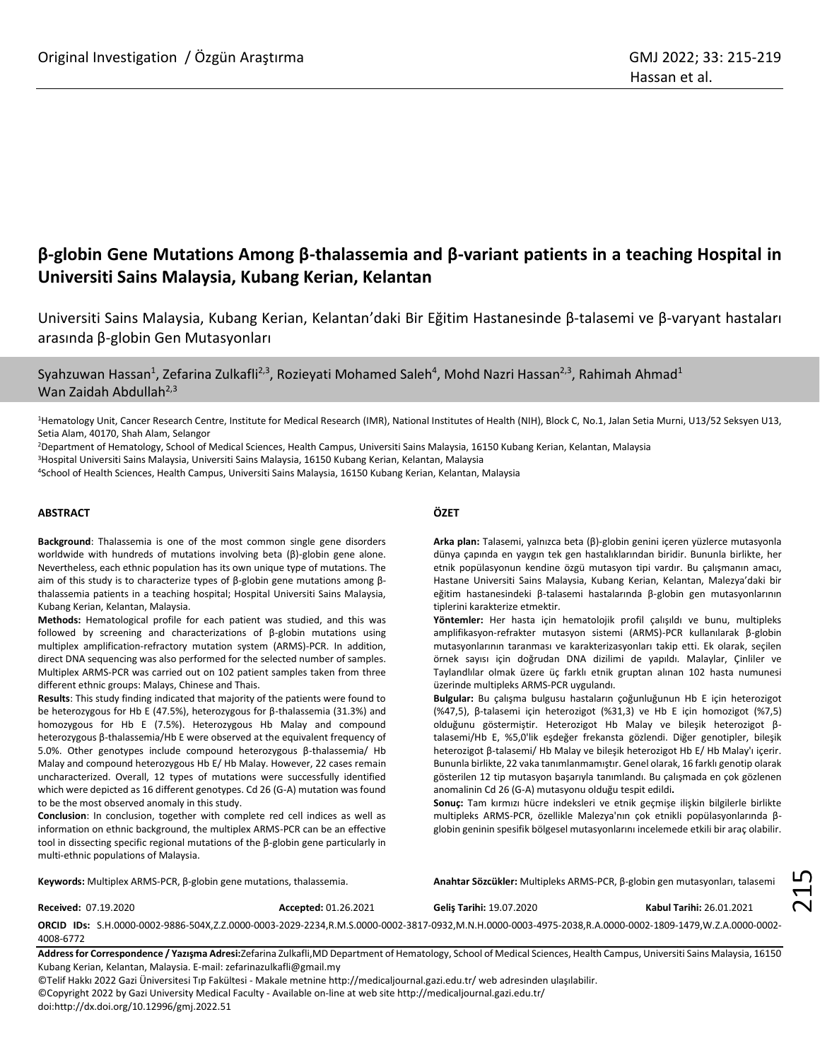# **β-globin Gene Mutations Among β-thalassemia and β-variant patients in a teaching Hospital in Universiti Sains Malaysia, Kubang Kerian, Kelantan**

Universiti Sains Malaysia, Kubang Kerian, Kelantan'daki Bir Eğitim Hastanesinde β-talasemi ve β-varyant hastaları arasında β-globin Gen Mutasyonları

Syahzuwan Hassan<sup>1</sup>, Zefarina Zulkafli<sup>2,3</sup>, Rozieyati Mohamed Saleh<sup>4</sup>, Mohd Nazri Hassan<sup>2,3</sup>, Rahimah Ahmad<sup>1</sup> Wan Zaidah Abdullah $^{2,3}$ 

<sup>1</sup>Hematology Unit, Cancer Research Centre, Institute for Medical Research (IMR), National Institutes of Health (NIH), Block C, No.1, Jalan Setia Murni, U13/52 Seksyen U13, Setia Alam, 40170, Shah Alam, Selangor

<sup>2</sup>Department of Hematology, School of Medical Sciences, Health Campus, Universiti Sains Malaysia, 16150 Kubang Kerian, Kelantan, Malaysia

<sup>3</sup>Hospital Universiti Sains Malaysia, Universiti Sains Malaysia, 16150 Kubang Kerian, Kelantan, Malaysia

<sup>4</sup>School of Health Sciences, Health Campus, Universiti Sains Malaysia, 16150 Kubang Kerian, Kelantan, Malaysia

# **ABSTRACT**

**Background**: Thalassemia is one of the most common single gene disorders worldwide with hundreds of mutations involving beta (β)-globin gene alone. Nevertheless, each ethnic population has its own unique type of mutations. The aim of this study is to characterize types of β-globin gene mutations among βthalassemia patients in a teaching hospital; Hospital Universiti Sains Malaysia, Kubang Kerian, Kelantan, Malaysia.

**Methods:** Hematological profile for each patient was studied, and this was followed by screening and characterizations of β-globin mutations using multiplex amplification-refractory mutation system (ARMS)-PCR. In addition, direct DNA sequencing was also performed for the selected number of samples. Multiplex ARMS-PCR was carried out on 102 patient samples taken from three different ethnic groups: Malays, Chinese and Thais.

**Results**: This study finding indicated that majority of the patients were found to be heterozygous for Hb E (47.5%), heterozygous for β-thalassemia (31.3%) and homozygous for Hb E (7.5%). Heterozygous Hb Malay and compound heterozygous β-thalassemia/Hb E were observed at the equivalent frequency of 5.0%. Other genotypes include compound heterozygous β-thalassemia/ Hb Malay and compound heterozygous Hb E/ Hb Malay. However, 22 cases remain uncharacterized. Overall, 12 types of mutations were successfully identified which were depicted as 16 different genotypes. Cd 26 (G-A) mutation was found to be the most observed anomaly in this study.

**Conclusion**: In conclusion, together with complete red cell indices as well as information on ethnic background, the multiplex ARMS-PCR can be an effective tool in dissecting specific regional mutations of the β-globin gene particularly in multi-ethnic populations of Malaysia.

# **ÖZET**

**Arka plan:** Talasemi, yalnızca beta (β)-globin genini içeren yüzlerce mutasyonla dünya çapında en yaygın tek gen hastalıklarından biridir. Bununla birlikte, her etnik popülasyonun kendine özgü mutasyon tipi vardır. Bu çalışmanın amacı, Hastane Universiti Sains Malaysia, Kubang Kerian, Kelantan, Malezya'daki bir eğitim hastanesindeki β-talasemi hastalarında β-globin gen mutasyonlarının tiplerini karakterize etmektir.

**Yöntemler:** Her hasta için hematolojik profil çalışıldı ve bunu, multipleks amplifikasyon-refrakter mutasyon sistemi (ARMS)-PCR kullanılarak β-globin mutasyonlarının taranması ve karakterizasyonları takip etti. Ek olarak, seçilen örnek sayısı için doğrudan DNA dizilimi de yapıldı. Malaylar, Çinliler ve Taylandlılar olmak üzere üç farklı etnik gruptan alınan 102 hasta numunesi üzerinde multipleks ARMS-PCR uygulandı.

**Bulgular:** Bu çalışma bulgusu hastaların çoğunluğunun Hb E için heterozigot (%47,5), β-talasemi için heterozigot (%31,3) ve Hb E için homozigot (%7,5) olduğunu göstermiştir. Heterozigot Hb Malay ve bileşik heterozigot βtalasemi/Hb E, %5,0'lik eşdeğer frekansta gözlendi. Diğer genotipler, bileşik heterozigot β-talasemi/ Hb Malay ve bileşik heterozigot Hb E/ Hb Malay'ı içerir. Bununla birlikte, 22 vaka tanımlanmamıştır. Genel olarak, 16 farklı genotip olarak gösterilen 12 tip mutasyon başarıyla tanımlandı. Bu çalışmada en çok gözlenen anomalinin Cd 26 (G-A) mutasyonu olduğu tespit edildi**.**

**Sonuç:** Tam kırmızı hücre indeksleri ve etnik geçmişe ilişkin bilgilerle birlikte multipleks ARMS-PCR, özellikle Malezya'nın çok etnikli popülasyonlarında βglobin geninin spesifik bölgesel mutasyonlarını incelemede etkili bir araç olabilir.

**Keywords:** Multiplex ARMS-PCR, β-globin gene mutations, thalassemia.

**Anahtar Sözcükler:** Multipleks ARMS-PCR, β-globin gen mutasyonları, talasemi

**Received:** 07.19.2020 **Accepted:** 01.26.2021

**Geliş Tarihi:** 19.07.2020 **Kabul Tarihi:** 26.01.2021

215

**ORCID IDs:** S.H.0000-0002-9886-504X,Z.Z.0000-0003-2029-2234,R.M.S.0000-0002-3817-0932,M.N.H.0000-0003-4975-2038,R.A.0000-0002-1809-1479,W.Z.A.0000-0002- 4008-6772

**Address for Correspondence / Yazışma Adresi:**Zefarina Zulkafli,MD Department of Hematology, School of Medical Sciences, Health Campus, Universiti Sains Malaysia, 16150 Kubang Kerian, Kelantan, Malaysia. E-mail[: zefarinazulkafli@gmail.my](mailto:zefarinazulkafli@gmail.my)

©Telif Hakkı 2022 Gazi Üniversitesi Tıp Fakültesi - Makale metnine http://medicaljournal.gazi.edu.tr/ web adresinden ulaşılabilir.

©Copyright 2022 by Gazi University Medical Faculty - Available on-line at web site http://medicaljournal.gazi.edu.tr/ doi:http://dx.doi.org/10.12996/gmj.2022.51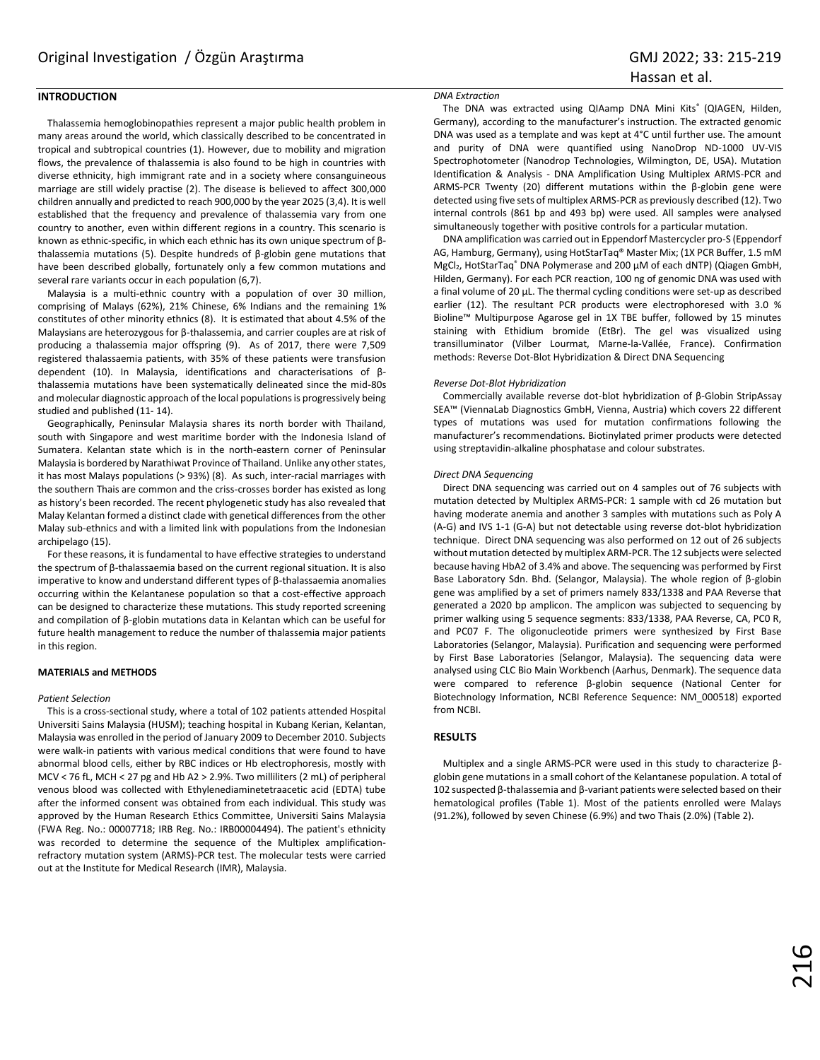# **INTRODUCTION**

Thalassemia hemoglobinopathies represent a major public health problem in many areas around the world, which classically described to be concentrated in tropical and subtropical countries (1). However, due to mobility and migration flows, the prevalence of thalassemia is also found to be high in countries with diverse ethnicity, high immigrant rate and in a society where consanguineous marriage are still widely practise (2). The disease is believed to affect 300,000 children annually and predicted to reach 900,000 by the year 2025 (3,4). It is well established that the frequency and prevalence of thalassemia vary from one country to another, even within different regions in a country. This scenario is known as ethnic-specific, in which each ethnic has its own unique spectrum of βthalassemia mutations (5). Despite hundreds of β-globin gene mutations that have been described globally, fortunately only a few common mutations and several rare variants occur in each population (6,7).

Malaysia is a multi-ethnic country with a population of over 30 million, comprising of Malays (62%), 21% Chinese, 6% Indians and the remaining 1% constitutes of other minority ethnics (8). It is estimated that about 4.5% of the Malaysians are heterozygous for β-thalassemia, and carrier couples are at risk of producing a thalassemia major offspring (9). As of 2017, there were 7,509 registered thalassaemia patients, with 35% of these patients were transfusion dependent (10). In Malaysia, identifications and characterisations of βthalassemia mutations have been systematically delineated since the mid-80s and molecular diagnostic approach of the local populations is progressively being studied and published (11- 14).

Geographically, Peninsular Malaysia shares its north border with Thailand, south with Singapore and west maritime border with the Indonesia Island of Sumatera. Kelantan state which is in the north-eastern corner of Peninsular Malaysia is bordered by Narathiwat Province of Thailand. Unlike any other states, it has most Malays populations (> 93%) (8). As such, inter-racial marriages with the southern Thais are common and the criss-crosses border has existed as long as history's been recorded. The recent phylogenetic study has also revealed that Malay Kelantan formed a distinct clade with genetical differences from the other Malay sub-ethnics and with a limited link with populations from the Indonesian archipelago (15).

For these reasons, it is fundamental to have effective strategies to understand the spectrum of β-thalassaemia based on the current regional situation. It is also imperative to know and understand different types of β-thalassaemia anomalies occurring within the Kelantanese population so that a cost-effective approach can be designed to characterize these mutations. This study reported screening and compilation of β-globin mutations data in Kelantan which can be useful for future health management to reduce the number of thalassemia major patients in this region.

### **MATERIALS and METHODS**

#### *Patient Selection*

This is a cross-sectional study, where a total of 102 patients attended Hospital Universiti Sains Malaysia (HUSM); teaching hospital in Kubang Kerian, Kelantan, Malaysia was enrolled in the period of January 2009 to December 2010. Subjects were walk-in patients with various medical conditions that were found to have abnormal blood cells, either by RBC indices or Hb electrophoresis, mostly with MCV < 76 fL, MCH < 27 pg and Hb A2 > 2.9%. Two milliliters (2 mL) of peripheral venous blood was collected with Ethylenediaminetetraacetic acid (EDTA) tube after the informed consent was obtained from each individual. This study was approved by the Human Research Ethics Committee, Universiti Sains Malaysia (FWA Reg. No.: 00007718; IRB Reg. No.: IRB00004494). The patient's ethnicity was recorded to determine the sequence of the Multiplex amplificationrefractory mutation system (ARMS)-PCR test. The molecular tests were carried out at the Institute for Medical Research (IMR), Malaysia.

# *DNA Extraction*

The DNA was extracted using QIAamp DNA Mini Kits® (QIAGEN, Hilden, Germany), according to the manufacturer's instruction. The extracted genomic DNA was used as a template and was kept at 4°C until further use. The amount and purity of DNA were quantified using NanoDrop ND-1000 UV-VIS Spectrophotometer (Nanodrop Technologies, Wilmington, DE, USA). Mutation Identification & Analysis - DNA Amplification Using Multiplex ARMS-PCR and ARMS-PCR Twenty (20) different mutations within the β-globin gene were detected using five sets of multiplex ARMS-PCR as previously described (12). Two internal controls (861 bp and 493 bp) were used. All samples were analysed simultaneously together with positive controls for a particular mutation.

DNA amplification was carried out in Eppendorf Mastercycler pro-S (Eppendorf AG, Hamburg, Germany), using HotStarTaq® Master Mix; (1X PCR Buffer, 1.5 mM MgCl<sub>2</sub>, HotStarTaq<sup>®</sup> DNA Polymerase and 200 µM of each dNTP) (Qiagen GmbH, Hilden, Germany). For each PCR reaction, 100 ng of genomic DNA was used with a final volume of 20 µL. The thermal cycling conditions were set-up as described earlier (12). The resultant PCR products were electrophoresed with 3.0 % Bioline™ Multipurpose Agarose gel in 1X TBE buffer, followed by 15 minutes staining with Ethidium bromide (EtBr). The gel was visualized using transilluminator (Vilber Lourmat, Marne-la-Vallée, France). Confirmation methods: Reverse Dot-Blot Hybridization & Direct DNA Sequencing

#### *Reverse Dot-Blot Hybridization*

Commercially available reverse dot-blot hybridization of β-Globin StripAssay SEA™ (ViennaLab Diagnostics GmbH, Vienna, Austria) which covers 22 different types of mutations was used for mutation confirmations following the manufacturer's recommendations. Biotinylated primer products were detected using streptavidin-alkaline phosphatase and colour substrates.

#### *Direct DNA Sequencing*

Direct DNA sequencing was carried out on 4 samples out of 76 subjects with mutation detected by Multiplex ARMS-PCR: 1 sample with cd 26 mutation but having moderate anemia and another 3 samples with mutations such as Poly A (A-G) and IVS 1-1 (G-A) but not detectable using reverse dot-blot hybridization technique. Direct DNA sequencing was also performed on 12 out of 26 subjects without mutation detected by multiplex ARM-PCR. The 12 subjects were selected because having HbA2 of 3.4% and above. The sequencing was performed by First Base Laboratory Sdn. Bhd. (Selangor, Malaysia). The whole region of β-globin gene was amplified by a set of primers namely 833/1338 and PAA Reverse that generated a 2020 bp amplicon. The amplicon was subjected to sequencing by primer walking using 5 sequence segments: 833/1338, PAA Reverse, CA, PC0 R, and PC07 F. The oligonucleotide primers were synthesized by First Base Laboratories (Selangor, Malaysia). Purification and sequencing were performed by First Base Laboratories (Selangor, Malaysia). The sequencing data were analysed using CLC Bio Main Workbench (Aarhus, Denmark). The sequence data were compared to reference β-globin sequence (National Center for Biotechnology Information, NCBI Reference Sequence: NM\_000518) exported from NCBI.

# **RESULTS**

Multiplex and a single ARMS-PCR were used in this study to characterize βglobin gene mutations in a small cohort of the Kelantanese population. A total of 102 suspected β-thalassemia and β-variant patients were selected based on their hematological profiles (Table 1). Most of the patients enrolled were Malays (91.2%), followed by seven Chinese (6.9%) and two Thais (2.0%) (Table 2).

216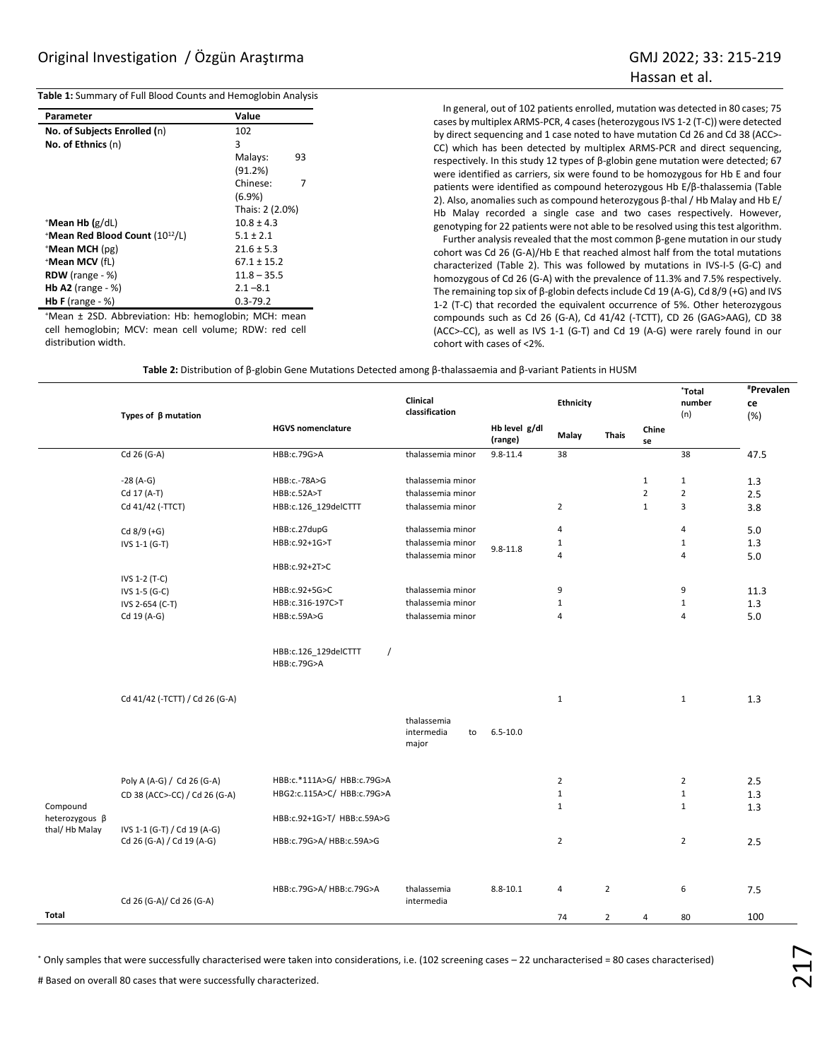**Table 1:** Summary of Full Blood Counts and Hemoglobin Analysis

| Parameter                                   | Value           |  |  |  |
|---------------------------------------------|-----------------|--|--|--|
| No. of Subjects Enrolled (n)                | 102             |  |  |  |
| No. of Ethnics (n)                          | 3               |  |  |  |
|                                             | Malays:<br>93   |  |  |  |
|                                             | (91.2%)         |  |  |  |
|                                             | Chinese:<br>7   |  |  |  |
|                                             | $(6.9\%)$       |  |  |  |
|                                             | Thais: 2 (2.0%) |  |  |  |
| $^+$ Mean Hb (g/dL)                         | $10.8 \pm 4.3$  |  |  |  |
| *Mean Red Blood Count (10 <sup>12</sup> /L) | $5.1 \pm 2.1$   |  |  |  |
| *Mean MCH (pg)                              | $21.6 \pm 5.3$  |  |  |  |
| *Mean MCV (fL)                              | $67.1 \pm 15.2$ |  |  |  |
| <b>RDW</b> (range $-$ %)                    | $11.8 - 35.5$   |  |  |  |
| <b>Hb A2</b> (range $-$ %)                  | $2.1 - 8.1$     |  |  |  |
| <b>Hb F</b> (range $-$ %)                   | $0.3 - 79.2$    |  |  |  |

<sup>+</sup>Mean ± 2SD. Abbreviation: Hb: hemoglobin; MCH: mean cell hemoglobin; MCV: mean cell volume; RDW: red cell distribution width.

In general, out of 102 patients enrolled, mutation was detected in 80 cases; 75 cases by multiplex ARMS-PCR, 4 cases (heterozygous IVS 1-2 (T-C)) were detected by direct sequencing and 1 case noted to have mutation Cd 26 and Cd 38 (ACC>- CC) which has been detected by multiplex ARMS-PCR and direct sequencing, respectively. In this study 12 types of β-globin gene mutation were detected; 67 were identified as carriers, six were found to be homozygous for Hb E and four patients were identified as compound heterozygous Hb E/β-thalassemia (Table 2). Also, anomalies such as compound heterozygous β-thal / Hb Malay and Hb E/ Hb Malay recorded a single case and two cases respectively. However, genotyping for 22 patients were not able to be resolved using this test algorithm.

Further analysis revealed that the most common β-gene mutation in our study cohort was Cd 26 (G-A)/Hb E that reached almost half from the total mutations characterized (Table 2). This was followed by mutations in IVS-I-5 (G-C) and homozygous of Cd 26 (G-A) with the prevalence of 11.3% and 7.5% respectively. The remaining top six of β-globin defects include Cd 19 (A-G), Cd 8/9 (+G) and IVS 1-2 (T-C) that recorded the equivalent occurrence of 5%. Other heterozygous compounds such as Cd 26 (G-A), Cd 41/42 (-TCTT), CD 26 (GAG>AAG), CD 38 (ACC>-CC), as well as IVS 1-1 (G-T) and Cd 19 (A-G) were rarely found in our cohort with cases of <2%.

|  | Table 2: Distribution of $\beta$ -globin Gene Mutations Detected among $\beta$ -thalassaemia and $\beta$ -variant Patients in HUSM |
|--|------------------------------------------------------------------------------------------------------------------------------------|
|--|------------------------------------------------------------------------------------------------------------------------------------|

|                                             | Types of $\beta$ mutation                                |                                                 | Clinical<br>classification               |                          | Ethnicity      | <b>Thais</b>   | Chine<br>se    | *Total<br>number<br>(n) | #Prevalen<br>ce<br>(%) |
|---------------------------------------------|----------------------------------------------------------|-------------------------------------------------|------------------------------------------|--------------------------|----------------|----------------|----------------|-------------------------|------------------------|
|                                             |                                                          | <b>HGVS nomenclature</b>                        |                                          | Hb level g/dl<br>(range) | Malay          |                |                |                         |                        |
|                                             | Cd 26 (G-A)                                              | HBB:c.79G>A                                     | thalassemia minor                        | $9.8 - 11.4$             | 38             |                |                | 38                      | 47.5                   |
|                                             | $-28(A-G)$                                               | HBB:c.-78A>G                                    | thalassemia minor                        |                          |                |                | $1\,$          | $\mathbf{1}$            | 1.3                    |
|                                             | Cd 17 (A-T)                                              | HBB:c.52A>T                                     | thalassemia minor                        |                          |                |                | $\overline{2}$ | $\overline{2}$          | 2.5                    |
|                                             | Cd 41/42 (-TTCT)                                         | HBB:c.126_129delCTTT                            | thalassemia minor                        |                          | $\overline{2}$ |                | $\mathbf{1}$   | 3                       | 3.8                    |
|                                             | $Cd 8/9 (+G)$                                            | HBB:c.27dupG                                    | thalassemia minor                        |                          | $\overline{4}$ |                |                | 4                       | 5.0                    |
|                                             | IVS 1-1 (G-T)                                            | HBB:c.92+1G>T                                   | thalassemia minor                        | $9.8 - 11.8$             | $\mathbf 1$    |                |                | $\mathbf{1}$            | 1.3                    |
|                                             |                                                          | HBB:c.92+2T>C                                   | thalassemia minor                        |                          | $\overline{a}$ |                |                | 4                       | 5.0                    |
|                                             | IVS 1-2 (T-C)                                            |                                                 |                                          |                          |                |                |                |                         |                        |
|                                             | IVS 1-5 (G-C)                                            | HBB:c.92+5G>C                                   | thalassemia minor                        |                          | 9              |                |                | 9                       | 11.3                   |
|                                             | IVS 2-654 (C-T)                                          | HBB:c.316-197C>T                                | thalassemia minor                        |                          | $\mathbf 1$    |                |                | $\mathbf{1}$            | 1.3                    |
|                                             | Cd 19 (A-G)                                              | HBB:c.59A>G                                     | thalassemia minor                        |                          | $\overline{4}$ |                |                | $\overline{4}$          | 5.0                    |
|                                             |                                                          | HBB:c.126 129delCTTT<br>$\prime$<br>HBB:c.79G>A |                                          |                          |                |                |                |                         |                        |
|                                             | Cd 41/42 (-TCTT) / Cd 26 (G-A)                           |                                                 |                                          |                          | $\mathbf{1}$   |                |                | $\mathbf{1}$            | 1.3                    |
|                                             |                                                          |                                                 | thalassemia<br>intermedia<br>to<br>major | $6.5 - 10.0$             |                |                |                |                         |                        |
|                                             | Poly A (A-G) / Cd 26 (G-A)                               | HBB:c.*111A>G/ HBB:c.79G>A                      |                                          |                          | $\overline{2}$ |                |                | $\overline{2}$          | 2.5                    |
|                                             |                                                          | HBG2:c.115A>C/ HBB:c.79G>A                      |                                          |                          | $\mathbf 1$    |                |                | $\mathbf 1$             | 1.3                    |
|                                             | CD 38 (ACC>-CC) / Cd 26 (G-A)                            |                                                 |                                          |                          | $\mathbf{1}$   |                |                | $\mathbf{1}$            |                        |
| Compound<br>heterozygous β<br>thal/Hb Malay | IVS 1-1 (G-T) / Cd 19 (A-G)<br>Cd 26 (G-A) / Cd 19 (A-G) | HBB:c.92+1G>T/ HBB:c.59A>G                      |                                          |                          |                |                |                |                         | 1.3                    |
|                                             |                                                          | HBB:c.79G>A/HBB:c.59A>G                         |                                          |                          | $\overline{2}$ |                |                | $\overline{2}$          | 2.5                    |
|                                             | Cd 26 (G-A)/ Cd 26 (G-A)                                 | HBB:c.79G>A/HBB:c.79G>A                         | thalassemia<br>intermedia                | $8.8 - 10.1$             | $\overline{4}$ | $\overline{2}$ |                | 6                       | 7.5                    |
| Total                                       |                                                          |                                                 |                                          |                          | 74             | $\overline{2}$ | 4              | 80                      | 100                    |
|                                             |                                                          |                                                 |                                          |                          |                |                |                |                         |                        |

\* Only samples that were successfully characterised were taken into considerations, i.e. (102 screening cases – 22 uncharacterised = 80 cases characterised)

# Based on overall 80 cases that were successfully characterized.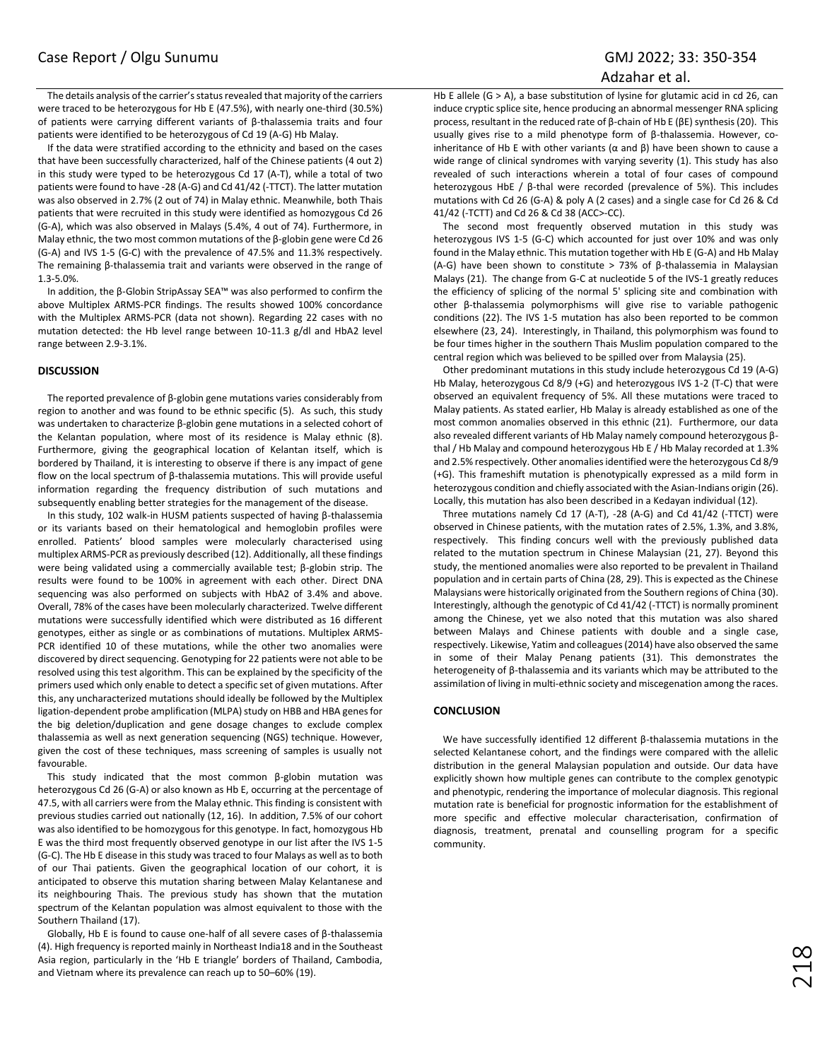Adzahar et al.

The details analysis of the carrier's status revealed that majority of the carriers were traced to be heterozygous for Hb E (47.5%), with nearly one-third (30.5%) of patients were carrying different variants of β-thalassemia traits and four patients were identified to be heterozygous of Cd 19 (A-G) Hb Malay.

If the data were stratified according to the ethnicity and based on the cases that have been successfully characterized, half of the Chinese patients (4 out 2) in this study were typed to be heterozygous Cd 17 (A-T), while a total of two patients were found to have -28 (A-G) and Cd 41/42 (-TTCT). The latter mutation was also observed in 2.7% (2 out of 74) in Malay ethnic. Meanwhile, both Thais patients that were recruited in this study were identified as homozygous Cd 26 (G-A), which was also observed in Malays (5.4%, 4 out of 74). Furthermore, in Malay ethnic, the two most common mutations of the β-globin gene were Cd 26 (G-A) and IVS 1-5 (G-C) with the prevalence of 47.5% and 11.3% respectively. The remaining β-thalassemia trait and variants were observed in the range of 1.3-5.0%.

In addition, the β-Globin StripAssay SEA™ was also performed to confirm the above Multiplex ARMS-PCR findings. The results showed 100% concordance with the Multiplex ARMS-PCR (data not shown). Regarding 22 cases with no mutation detected: the Hb level range between 10-11.3 g/dl and HbA2 level range between 2.9-3.1%.

## **DISCUSSION**

The reported prevalence of β-globin gene mutations varies considerably from region to another and was found to be ethnic specific (5). As such, this study was undertaken to characterize β-globin gene mutations in a selected cohort of the Kelantan population, where most of its residence is Malay ethnic (8). Furthermore, giving the geographical location of Kelantan itself, which is bordered by Thailand, it is interesting to observe if there is any impact of gene flow on the local spectrum of β-thalassemia mutations. This will provide useful information regarding the frequency distribution of such mutations and subsequently enabling better strategies for the management of the disease.

In this study, 102 walk-in HUSM patients suspected of having β-thalassemia or its variants based on their hematological and hemoglobin profiles were enrolled. Patients' blood samples were molecularly characterised using multiplex ARMS-PCR as previously described (12). Additionally, all these findings were being validated using a commercially available test; β-globin strip. The results were found to be 100% in agreement with each other. Direct DNA sequencing was also performed on subjects with HbA2 of 3.4% and above. Overall, 78% of the cases have been molecularly characterized. Twelve different mutations were successfully identified which were distributed as 16 different genotypes, either as single or as combinations of mutations. Multiplex ARMS-PCR identified 10 of these mutations, while the other two anomalies were discovered by direct sequencing. Genotyping for 22 patients were not able to be resolved using this test algorithm. This can be explained by the specificity of the primers used which only enable to detect a specific set of given mutations. After this, any uncharacterized mutations should ideally be followed by the Multiplex ligation-dependent probe amplification (MLPA) study on HBB and HBA genes for the big deletion/duplication and gene dosage changes to exclude complex thalassemia as well as next generation sequencing (NGS) technique. However, given the cost of these techniques, mass screening of samples is usually not favourable.

This study indicated that the most common β-globin mutation was heterozygous Cd 26 (G-A) or also known as Hb E, occurring at the percentage of 47.5, with all carriers were from the Malay ethnic. This finding is consistent with previous studies carried out nationally (12, 16). In addition, 7.5% of our cohort was also identified to be homozygous for this genotype. In fact, homozygous Hb E was the third most frequently observed genotype in our list after the IVS 1-5 (G-C). The Hb E disease in this study was traced to four Malays as well as to both of our Thai patients. Given the geographical location of our cohort, it is anticipated to observe this mutation sharing between Malay Kelantanese and its neighbouring Thais. The previous study has shown that the mutation spectrum of the Kelantan population was almost equivalent to those with the Southern Thailand (17).

Globally, Hb E is found to cause one-half of all severe cases of β-thalassemia (4). High frequency is reported mainly in Northeast India18 and in the Southeast Asia region, particularly in the 'Hb E triangle' borders of Thailand, Cambodia, and Vietnam where its prevalence can reach up to 50–60% (19).

Hb E allele (G > A), a base substitution of lysine for glutamic acid in cd 26, can induce cryptic splice site, hence producing an abnormal messenger RNA splicing process, resultant in the reduced rate of β-chain of Hb E (βE) synthesis (20). This usually gives rise to a mild phenotype form of β-thalassemia. However, coinheritance of Hb E with other variants ( $\alpha$  and  $\beta$ ) have been shown to cause a wide range of clinical syndromes with varying severity (1). This study has also revealed of such interactions wherein a total of four cases of compound heterozygous HbE / β-thal were recorded (prevalence of 5%). This includes mutations with Cd 26 (G-A) & poly A (2 cases) and a single case for Cd 26 & Cd 41/42 (-TCTT) and Cd 26 & Cd 38 (ACC>-CC).

The second most frequently observed mutation in this study was heterozygous IVS 1-5 (G-C) which accounted for just over 10% and was only found in the Malay ethnic. This mutation together with Hb E (G-A) and Hb Malay (A-G) have been shown to constitute > 73% of β-thalassemia in Malaysian Malays (21). The change from G-C at nucleotide 5 of the IVS-1 greatly reduces the efficiency of splicing of the normal 5' splicing site and combination with other β-thalassemia polymorphisms will give rise to variable pathogenic conditions (22). The IVS 1-5 mutation has also been reported to be common elsewhere (23, 24). Interestingly, in Thailand, this polymorphism was found to be four times higher in the southern Thais Muslim population compared to the central region which was believed to be spilled over from Malaysia (25).

Other predominant mutations in this study include heterozygous Cd 19 (A-G) Hb Malay, heterozygous Cd 8/9 (+G) and heterozygous IVS 1-2 (T-C) that were observed an equivalent frequency of 5%. All these mutations were traced to Malay patients. As stated earlier, Hb Malay is already established as one of the most common anomalies observed in this ethnic (21). Furthermore, our data also revealed different variants of Hb Malay namely compound heterozygous βthal / Hb Malay and compound heterozygous Hb E / Hb Malay recorded at 1.3% and 2.5% respectively. Other anomalies identified were the heterozygous Cd 8/9 (+G). This frameshift mutation is phenotypically expressed as a mild form in heterozygous condition and chiefly associated with the Asian-Indians origin (26). Locally, this mutation has also been described in a Kedayan individual (12).

Three mutations namely Cd 17 (A-T), -28 (A-G) and Cd 41/42 (-TTCT) were observed in Chinese patients, with the mutation rates of 2.5%, 1.3%, and 3.8%, respectively. This finding concurs well with the previously published data related to the mutation spectrum in Chinese Malaysian (21, 27). Beyond this study, the mentioned anomalies were also reported to be prevalent in Thailand population and in certain parts of China (28, 29). This is expected as the Chinese Malaysians were historically originated from the Southern regions of China (30). Interestingly, although the genotypic of Cd 41/42 (-TTCT) is normally prominent among the Chinese, yet we also noted that this mutation was also shared between Malays and Chinese patients with double and a single case, respectively. Likewise, Yatim and colleagues (2014) have also observed the same in some of their Malay Penang patients (31). This demonstrates the heterogeneity of β-thalassemia and its variants which may be attributed to the assimilation of living in multi-ethnic society and miscegenation among the races.

# **CONCLUSION**

We have successfully identified 12 different β-thalassemia mutations in the selected Kelantanese cohort, and the findings were compared with the allelic distribution in the general Malaysian population and outside. Our data have explicitly shown how multiple genes can contribute to the complex genotypic and phenotypic, rendering the importance of molecular diagnosis. This regional mutation rate is beneficial for prognostic information for the establishment of more specific and effective molecular characterisation, confirmation of diagnosis, treatment, prenatal and counselling program for a specific community.

218<br>21